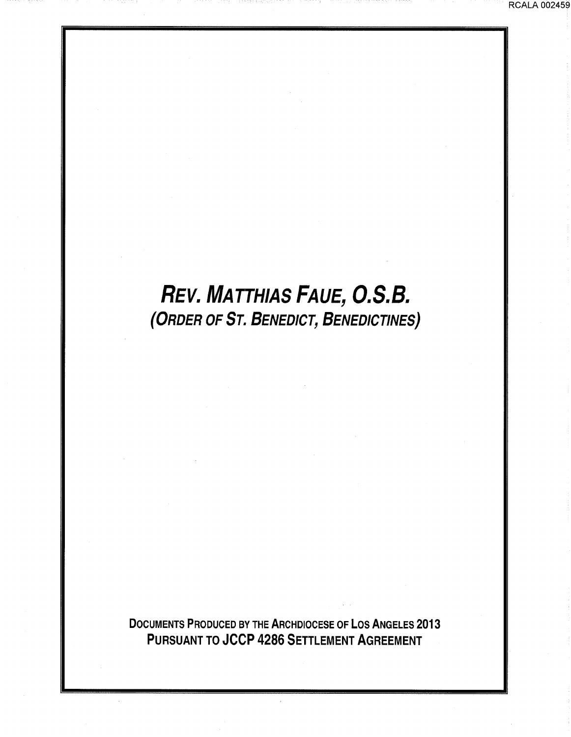# REV. MATTHIAS FAUE, O.S.B.

RCALA 002459

(ORDER OF ST. BENEDICT, BENEDICTINES)

DOCUMENTS PRODUCED BY THE ARCHDIOCESE OF LOS ANGELES 2013 PURSUANT TO JCCP 4286 SETTLEMENT AGREEMENT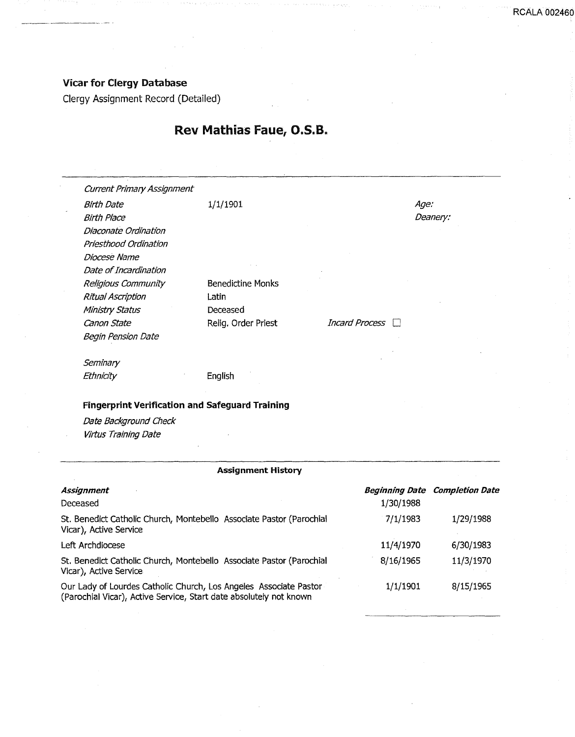#### Vicar for Clergy Database

Clergy Assignment Record (Detailed)

## Rev Mathias faue, O.S.B.

| Birth Date                 | 1/1/1901                 |                | <i>Age:</i> |  |
|----------------------------|--------------------------|----------------|-------------|--|
| Birth Place                |                          |                | Deanery:    |  |
| Diaconate Ordination       |                          |                |             |  |
| Priesthood Ordination      |                          |                |             |  |
| Diocese Name               |                          |                |             |  |
| Date of Incardination      |                          |                |             |  |
| <b>Religious Community</b> | <b>Benedictine Monks</b> |                |             |  |
| <b>Ritual Ascription</b>   | Latin                    |                |             |  |
| Ministry Status            | Deceased                 |                |             |  |
| Canon State                | Relig. Order Priest      | Incard Process |             |  |
| Begin Pension Date         |                          |                |             |  |
| Seminary                   |                          |                |             |  |
| Ethnicity                  | English                  |                |             |  |

Date Background Check Virtus Training Date

#### Assignment History

| Assignment<br>Deceased                                                                                                                  | 1/30/1988 | <b>Beginning Date Completion Date</b> |
|-----------------------------------------------------------------------------------------------------------------------------------------|-----------|---------------------------------------|
| St. Benedict Catholic Church, Montebello Associate Pastor (Parochial<br>Vicar), Active Service                                          | 7/1/1983  | 1/29/1988                             |
| Left Archdiocese                                                                                                                        | 11/4/1970 | 6/30/1983                             |
| St. Benedict Catholic Church, Montebello Associate Pastor (Parochial<br>Vicar), Active Service                                          | 8/16/1965 | 11/3/1970                             |
| Our Lady of Lourdes Catholic Church, Los Angeles Associate Pastor<br>(Parochial Vicar), Active Service, Start date absolutely not known | 1/1/1901  | 8/15/1965                             |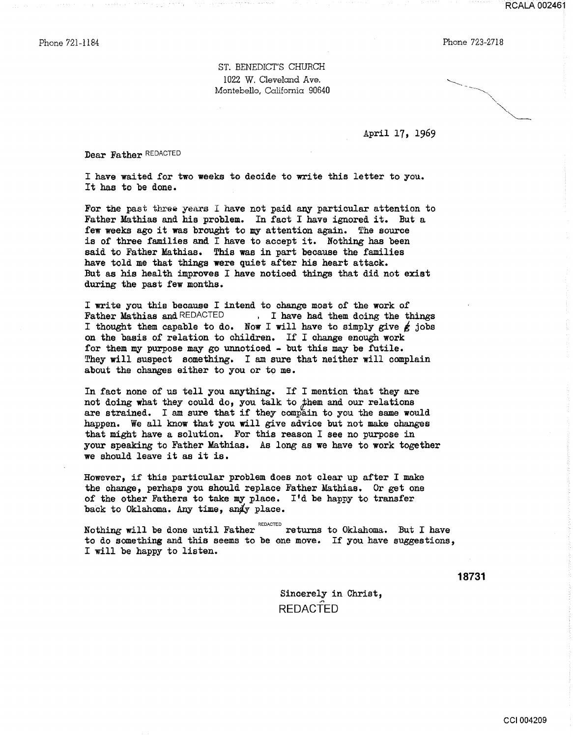Phone 721-1184 Phone 723-2718

ST. BENEDICT'S CHURCH 1022 W. Cleveland Ave. Montebello, California 90640

April 17, 1969

Dear Father REDACTED

I have waited for two weeks to decide to write this letter to you. It has to be done.

For the past three years I have not paid any particular attention to Father Mathias and his problem. In fact I have ignored it. But a few weeks ago it was brought to my attention again. The source is of three families and I have to accept it. Nothing has been said to Father Mathias. This was in part because the families have told me that things were quiet after hie heart attack. But as his health improves I have noticed things that did not exist during the past few months.

I write you this because I intend to change most of the work of Father Mathias and REDACTED , I have had them doing the things I thought them capable to do. Now I will have to simply give  $\ell$  jobs on the basis of relation to children. If I change enough work for them my purpose may go unnoticed - but this may be futile. They will suspect something. I am sure that neither will complain about the changes either to you or to me.

In fact none of us tell you anything. If I mention that they are not doing what they could do, you talk to them and our relations are strained. I am sure that if they compain to you the same would happen. We all know that you will give advice but not make changes that might have a solution. For this reason I see no purpose in your speaking to Father Mathias. As long as we have to work together we should leave it as it is •

However, if this particular problem does not clear up after I make the change, perhaps you should replace Father Mathias. Or get one of the other Fathers to take my place. I'd be happy to transfer back to Oklahoma. Any time, andy place.

Nothing will be done until Father  $REDACTED$  returns to Oklahoma. But I have to do something and this seems to be one move. If you have suggestions, I will be happy to listen.

**18731** 

Sincerely in Christ, **REDACTED**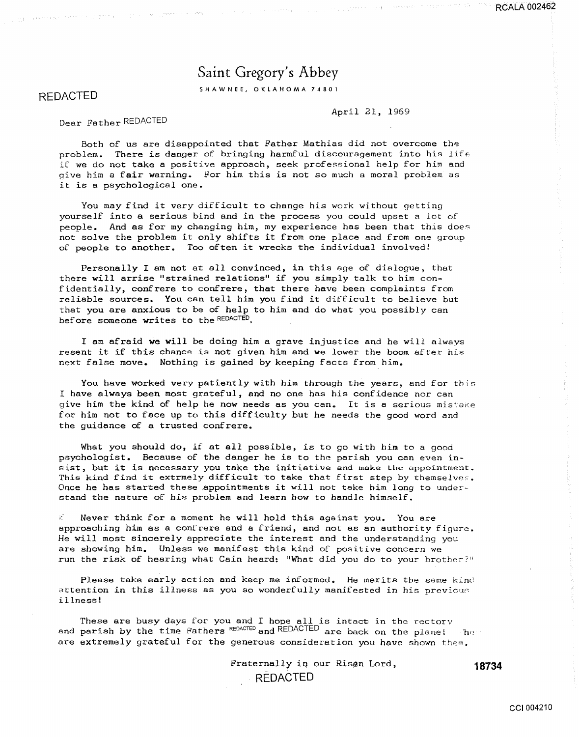#### Saint Gregory's Abbey

REDACTED SHAWNEE, OKLAHOMA 74801

#### April 21, 1969

Dear Father REDACTED

Both of us are disappointed that Father Mathias did not overcome the problem. There is danger of bringing harmful discouragement into his life if we do not take a positive approach, seek professional help for him and give him a fair warning. For him this is not so much a moral problem as it is a psychological one.

You may find it very difficult to change his work without getting yourself into a serious bind and in the process you could upset a lot of people. And as for my changing him, my experience has been that this does not solve the problem it only shifts it from one place and from one group of people to another. Too often it wrecks the individual involved!

Personally I am not at all convinced, in this age of dialogue, that there will arrise "strained relations" if you simply talk to him confidentially, confrere to confrere, that there have been complaints from reliable sources. You can tell him you find it difficult to believe but that you are anxious to be of help to him and do what you possibly can before someone writes to the REDACTED,

I am afraid we will be doing him a grave injustice and he will always resent it if this chance is not given him and we lower the boom after his next false move. Nothing is gained by keeping facts from him.

You have worked very patiently with him through the years, and for this I have always been most grateful, and no one has his confidence nor can give him the kind of help he now needs as you can. It is a serious mistake for him not to face up to this difficulty but he needs the good word and the guidance of a trusted confrere.

What you should do, if at all possible, is to go with him to a good psychologist. Because of the danger he is to the parish you can even insist, but it is necessary you take the initiative and make the appointment. This kind find it extrmely difficult to take that first step by themselves. Once he has started these appointments it will not take him long to understand the nature of his problem and learn how to handle himself.

Never think for a moment he will hold this against you. You are approaching him as a confrere and a friend, and not as an authority figure. He will most sincerely appreciate the interest and the understanding you are showing him. Unless we manifest this kind of positive concern we run the risk of hearing what Cain heard: "What did you do to your brother?"

Please take early action and keep me informed. He merits the same kind attention in this illness as you so wonderfully manifested in his previous illness!

These are busy days for you and I hope all is intact in the rectory and parish by the time Fathers REDACTED and REDACTED are back on the plane! 'he and parish by the time Fathers  $K$  and  $K$  and  $K$  are back on the plane! The state of the state of the generous consideration you have shown them.

> Fraternally in our Risen Lord, **18734 REDACTED**

 $R$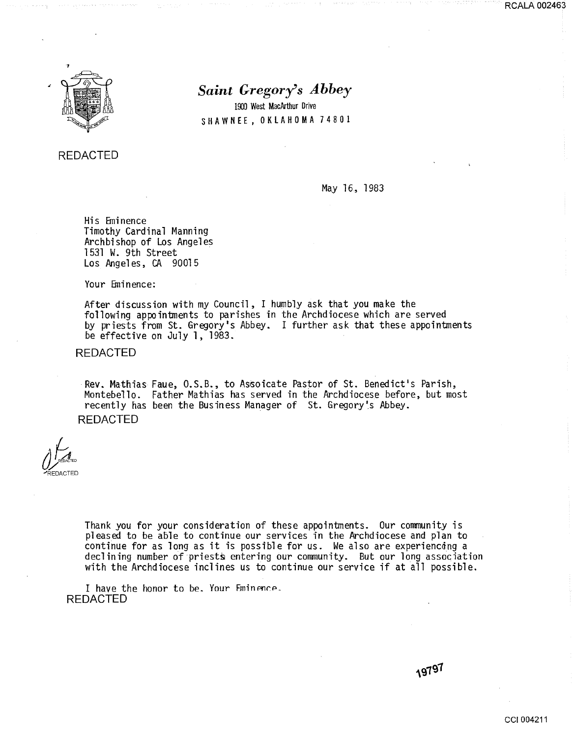

### *Saint Gregory's Abbey*

1000 West MacArthur Drive SHAWNEE, OKLAHOMA 74801

#### REDACTED

#### May 16, 1983

His Eminence Timothy Cardinal Manning Archbishop of Los Angeles 1531 W. 9th Street Los Angeles, CA 90015

Your Eminence:

After discuss ion with my Council, I humbly ask that you make the following appointments to parishes in the Archdiocese which are served by priests from St. Gregory's Abbey. I further ask that these appointments be effective on July l, 1983.

#### REDACTED

Rev. Mathias Faue, O.S.B., to Assoicate Pastor of St. Benedict's Parish, Montebello. Father Mathias has served in the Archdiocese before, but most recently has been the Business Manager of St. Gregory's Abbey. REDACTED

*oft-* "'REDACTED

Thank you for your consideration of these appointments. Our community is pleased to be able to continue our services in the Archdiocese and plan to continue for as long as it is possible for us. We also are experiencing a declining number of priests entering our community. But our long association with the Archdiocese inclines us to continue our service if at all possible.

I have the honor to be. Your Fminence. REDACTED

RCALA 002463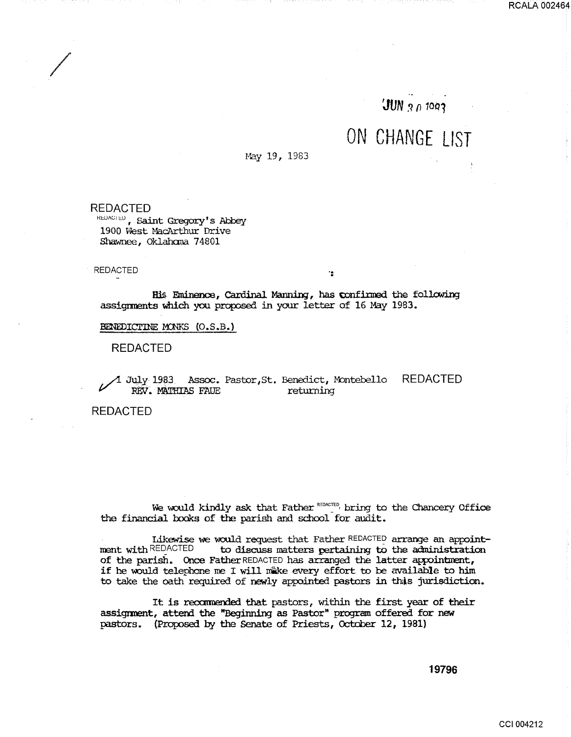#### $JUN$  3  $0.1003$

## ON CHANGE LJST

May 19, 1983

REDACTED **REDACTED**, Saint Gregory's Abbey 1900 West MacArthur Drive Shawnee, Oklahoma 74801

#### REDACTED

/<br>//<br>Santa Santa Santa Santa Santa Santa Santa Santa Santa Santa Santa Santa Santa Santa Santa Santa Santa Santa S

 $\mathbf{r}_2$ 

His. Eminence, Cardinal Manning, has confirmed the following assignments which you proposed in your letter of 16 May 1983.

#### BENEDICTINE MONKS (O.S.B.)

REDACTED

 $\cal A$  July 1983 – Assoc. Pastor,St. Benedict, Montebello – <code>REDACTED</code> REV. MATHIAS FAUE returning

REDACTED

We would kindly ask that Father REDACTED, bring to the Chancery Office the financial books of the parish and school for audit.

Likewise we would request that Father REDACTED arrange an appointment with REDACTED to discuss matters pertaining to the administration of the parish. Once Father REDACTED has arranged the latter appointment, if he would telephone me I will make every effort to be available to him to take the oath required of newly appointed pastors in this jurisdiction.

It is recommended that pastors, within the first year of their assignment, attend the "Beginning as Pastor" program offered for new pastors. (Proposed by the Senate of Priests, October 12, 1981)

**19796**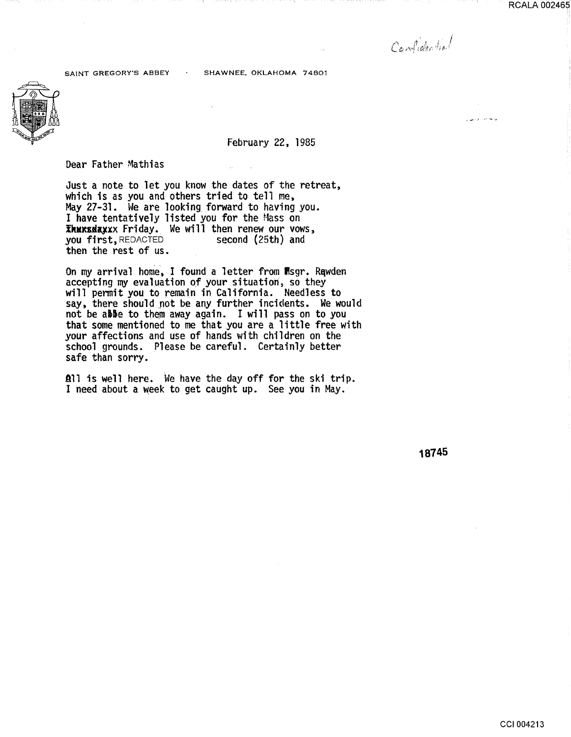RCALA 002465

Confidential

.<br>يانيا بير الأوري<u>ن</u> إ

SAINT GREGORY'S ABBEY . SHAWNEE, OKLAHOMA 74801



February 22, 1985

Dear Father Mathias

Just a note to let you know the dates of the retreat, which is as you and others tried to tell me, May 27-31. We are looking forward to having you. I have tentatively listed you for the Hass on  $\overline{x}$ hux $x$ day. We will then renew our vows,<br>you first, REDACTED second (25th) and you first, REDACTED then the rest of us.

On my arrival home, I found a letter from **Asgr.** Rawden accepting my evaluation of your situation, so they will permit you to remain in California. Needless to say, there should not be any further incidents. We would not be abbe to them away again. I will pass on to you that some mentioned to me that you are a little free with your affections and use of hands with children on the school grounds. Please be careful. Certainly better safe than sorry.

All is well here. We have the day off for the ski trip. I need about a week to get caught up. See you in May.

18745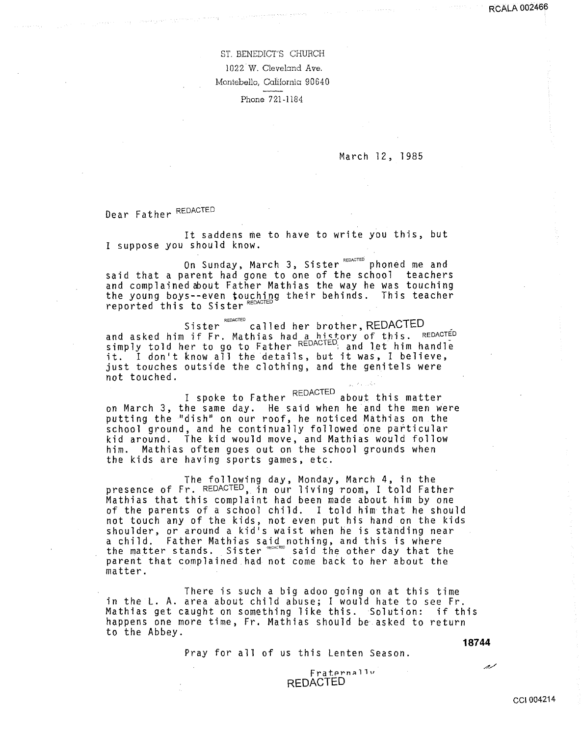ST. BENEDICT'S CHURCH 1022 W. Cleveland *Ave.*  Montebello, California 90640 Phone 7 21-1184

March 12, 1985

Dear Father REDACTED

It saddens me to have to write you this, but I suppose you should know.

On Sunday, March 3, Sister REDACTED phoned me and said that a parent had gone to one of the school teachers<br>and complained about Father Mathias the way he was touching and complained about Father Mathias the way he was touching<br>the young boys--even touching their behinds. This teacher ene young boys even youdn't.

Sister REDACTED Sister called her brother, REDACTED<br>and asked him if Fr. Mathias had a hictory of this. REDACTED and usked him if it, hadnigs madrid  $R^{EDACTED}$ ; and let him handle it. I don't know all the details, but it was, I believe, just touches outside the clothing, and the genitels were not touched.

I spoke to Father REDACTED about this matter on March 3, the same day. He said when he and the men were putting the "dish" on our roof, he noticed Mathias on the<br>school ground, and he continually followed one particular kid around. The kid would move, and Mathias would follow him. Mathias often goes out on the school grounds when the kids are having sports games, etc.

The following day, Monday, March 4, in the presence of Fr. REDACTED, in our living room, I told Father Mathias that this complaint had been made about him by one of the parents of a school child. I told him that he should not touch any of the kids, not even put his hand on the kids shoulder, or around a kid's waist when he is standing near a child. Father Mathias said nothing, and this is where the matter stands. Sister REDACTED said the other day that the parent that complained had not come back to her about the matter.

There is such a big adoo going on at this time in the L. A. area about child abuse; I would hate to see Fr. Mathias get caught on something like this. Solution: if this happens one more time, Fr. Mathias should be asked to return to the Abbey.

Pray for all of us this Lenten Season.

**18744** 

مرور

Fraternallv REDACTED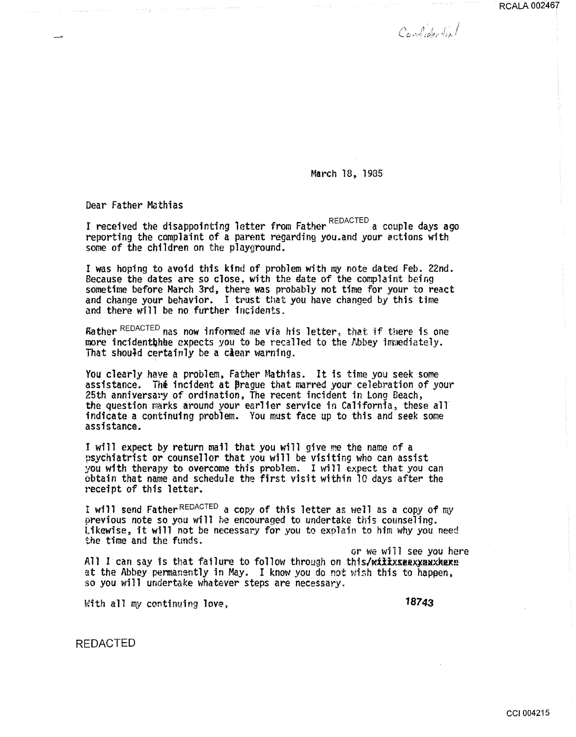RCALA 002467

Confidential

March 18, 1935

Dear Father Mathias

I received the disappointing letter from Father  $REDACTED$  a couple days ago reporting the complaint of a parent regarding you.and your actions with some of the children on the playground.

I was hoping to avoid this kind of problem with my note dated Feb. 22nd.<br>Because the dates are so close, with the date of the complaint being sometime before March 3rd, there was probably not time for your to react and change your behavior. I trust that you have changed by this time and there will be no further incidents.

Rather REDACTED nas now informed me via his letter, that if there is one more incidenthhee expects you to be recalled to the Abbey immediately.<br>That should certainly be a clear warning.

You clearly have a problem, Father Mathias. It is time you seek some assistance. The incident at Brague that marred your celebration of your 25th anniversary of ordination, The recent incident in Long Beach, the question marks around your earlier service in California, these all indicate a continuing problem. You must face up to this and seek some assistance.

I will expect by return mail that you will give me the name of a psychiatrist or counsellor that you will be visiting who can assist you with therapy to overcome this problem. I will expect that you can obtain that name and schedule the first visit within 10 days after the receipt of this letter.

I will send Father<sup>REDACTED</sup> a copy of this letter as well as a copy of my previous note so you will be encouraged to undertake this counseling. Likewise, it will not be necessary for you to explain to him why you need the time and the funds.

or we wiil see you here All I can say is that failure to follow through on this/wiiixxeexxxaxxhaxe at the Abbey permanently in May. I know you do not wish this to happen, so you will undertake whatever steps are necessary.

~Jith all my continuing love, **18743** 

REDACTED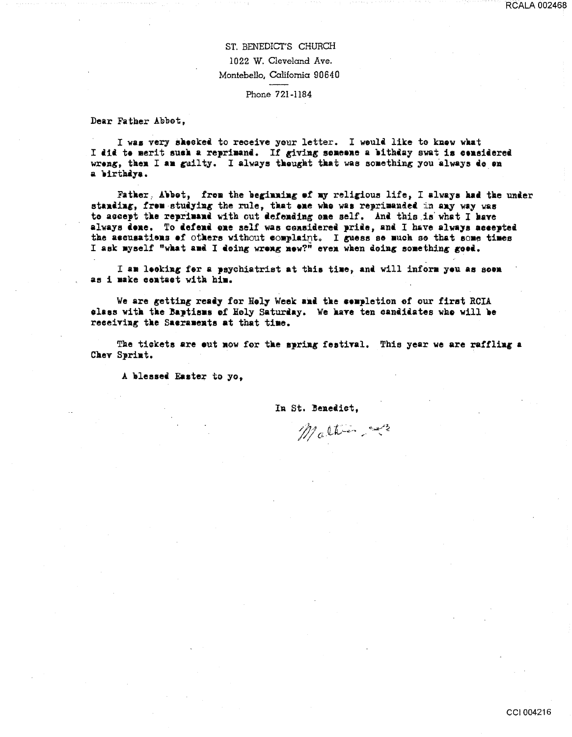ST. BENEDICT'S CHURCH 1022 W. Cleveland Ave. Montebello, California 90640

Phone 721-1184

Dear Father Abbot,

I was very sheeked to receive your letter. I weuld like to knew what I did te merit sush a reprimand. If giving someene a bithday swat is censidered wreng, then I am guilty. I always thought that was something you always de en a birthdya.

Father, Abbot, from the beginning of my religious life, I always had the under standing, frem studying the rule, that eae whe was reprimanded in any way was to accept the reprimand with out defending one self. And this is what I have always dene. To defend one self was considered pride, and I have always accepted the ascusations of others without complaint. I guess se much so that some times I ask myself "what and I doing wreng new?" even when doing something goed.

I am leoking fer a psychiatrist at this time, and will inform yeu as soom as i make contact with him.

We are getting ready for Holy Week and the completion of our first RCIA alass with the Baptisms of Holy Saturday. We have ten candidates who will be receiving the Saeraments at that time.

The tiekets are out now for the spring festival. This year we are raffling a Chev Sprint.

A blessed Easter to yo.

In St. Benedict,

Mather and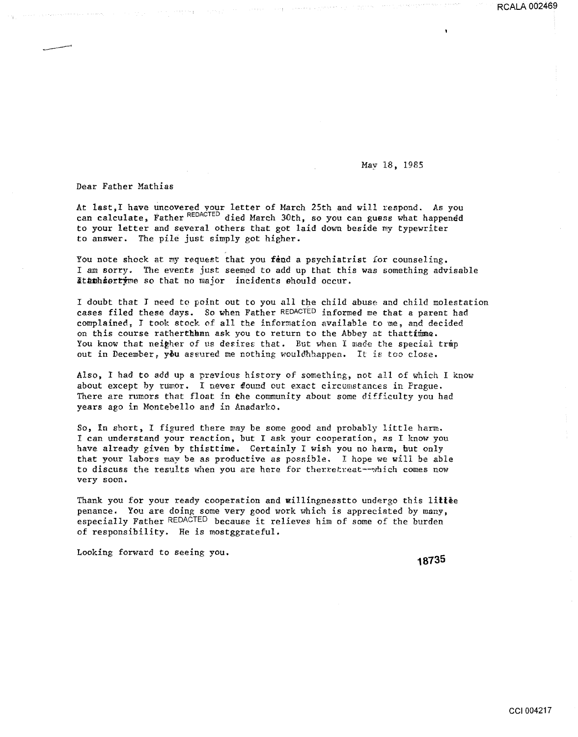May 18, 1985

Dear Father Mathias

At lsst,I have uncovered your letter of March 25th and will respond. As you can calculate, Father REDACTED died March 30th, so you can guess what happened to your letter and several others that got laid down beside my typewriter to answer. The pile just simply got higher.

You note shock at my request that you fend a psychiatrist for counseling. I am sorry. The events just seemed to add up that this was something advisable Itathsertime so that no major incidents should occur.

I doubt that J need to point out to you all the child abuse and child molestation cases filed these days. So when Father REDACTED informed me that a parent had complained. J took stock *of* all the information available to me, and decided on this course ratherthhan ask you to return to the Abbey at thattimme. You know that neigher of us desires that. But when I made the special trup out in December, you assured me nothing wouldhhappen. It is too close.

Also, I had to add up a previous history of something, not all of which I know about except by rumor. I never found out exact circumstances in Prague. There are rumors that float in *the* community about some difficulty you had years ago in Hontebello and in Anadarko.

So, In short, I figured there may be some good and probably little harm. I can understand your reaction, but I ask your cooperation, as I know you have already given by thisttime. Certainly I wish you no harm, but only that your labors may be as productive as possible. I hope we will be able to discuss the results when you are here for therretreat--which comes now very soon.

Thank you for your ready cooperation and willingnesstto undergo this littlee penance. You are doing some very good work which is appreciated by many, especially Father REDACTED because it relieves him of some of the burden of responsibility. He is mostggrateful.

Looking forward to seeing you. **<sup>18735</sup>**

 $R$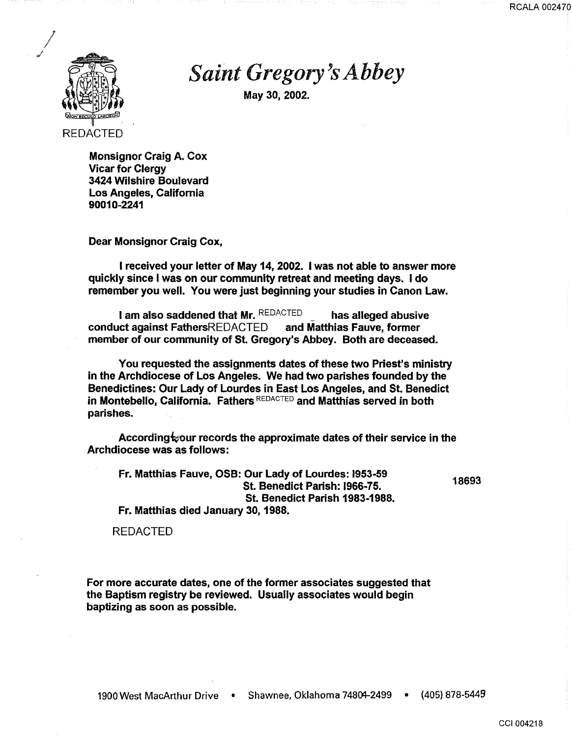

## *Saint Gregory'sAbbey*

May 30, 2002.

Monsignor Craig A. Cox Vicar for Clergy 3424 Wilshire Boulevard Los Angeles, California 90010-2241

Dear Monsignor Craig Cox,

I received your letter of May 14, 2002. I was not able to answer more quickly since I was on our community retreat and meeting days. I do remember you well. You were just beginning your studies in Canon Law.

I am also saddened that Mr. REDACTED has alleged abusive conduct against FathersREDACTED and Matthias Fauve, former member of our community of St. Gregory's Abbey. Both are deceased.

You requested the assignments dates of these two Priest's ministry in the Archdiocese of Los Angeles. We had two parishes founded by the Benedictines: Our Lady of Lourdes in East Los Angeles, and St. Benedict in Montebello, California. Fathers REDACTED and Matthias served in both parishes.

According $\&$ our records the approximate dates of their service in the Archdiocese was as follows:

Fr. Matthias Fauve, OSB: Our Lady of Lourdes: 1953-59 St. Benedict Parish: 1966-75. St. Benedict Parish 1983-1988. Fr. Matthias died January 30, 1988.

18693

REDACTED

For more accurate dates, one of the former associates suggested that the Baptism registry be reviewed. Usually associates would begin baptizing as soon as possible.